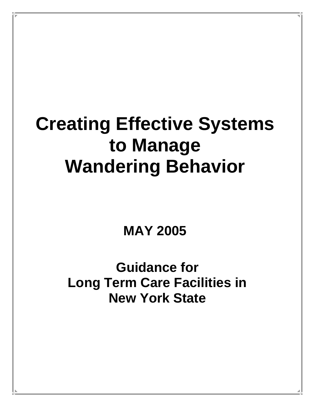# **Creating Effective Systems to Manage Wandering Behavior**

**MAY 2005** 

**Guidance for Long Term Care Facilities in New York State**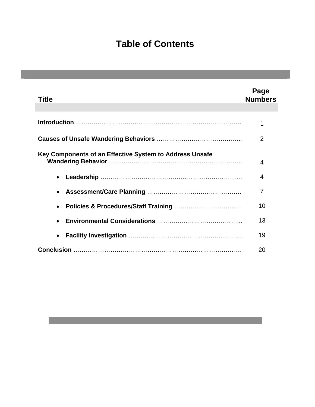# **Table of Contents**

| Title                                                   | Page<br><b>Numbers</b> |
|---------------------------------------------------------|------------------------|
|                                                         | 1                      |
|                                                         | $\overline{2}$         |
| Key Components of an Effective System to Address Unsafe | 4                      |
| $\bullet$                                               | 4                      |
| $\bullet$                                               | 7                      |
| $\bullet$                                               | 10                     |
| $\bullet$                                               | 13                     |
| $\bullet$                                               | 19                     |
|                                                         | 20                     |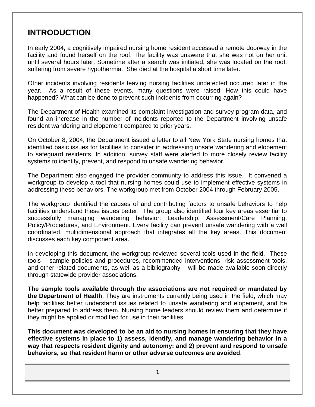## **INTRODUCTION**

In early 2004, a cognitively impaired nursing home resident accessed a remote doorway in the facility and found herself on the roof. The facility was unaware that she was not on her unit until several hours later. Sometime after a search was initiated, she was located on the roof, suffering from severe hypothermia. She died at the hospital a short time later.

Other incidents involving residents leaving nursing facilities undetected occurred later in the year. As a result of these events, many questions were raised. How this could have happened? What can be done to prevent such incidents from occurring again?

The Department of Health examined its complaint investigation and survey program data, and found an increase in the number of incidents reported to the Department involving unsafe resident wandering and elopement compared to prior years.

On October 8, 2004, the Department issued a letter to all New York State nursing homes that identified basic issues for facilities to consider in addressing unsafe wandering and elopement to safeguard residents. In addition, survey staff were alerted to more closely review facility systems to identify, prevent, and respond to unsafe wandering behavior.

The Department also engaged the provider community to address this issue. It convened a workgroup to develop a tool that nursing homes could use to implement effective systems in addressing these behaviors. The workgroup met from October 2004 through February 2005.

The workgroup identified the causes of and contributing factors to unsafe behaviors to help facilities understand these issues better. The group also identified four key areas essential to successfully managing wandering behavior: Leadership, Assessment/Care Planning, Policy/Procedures, and Environment. Every facility can prevent unsafe wandering with a well coordinated, multidimensional approach that integrates all the key areas. This document discusses each key component area.

In developing this document, the workgroup reviewed several tools used in the field. These tools – sample policies and procedures, recommended interventions, risk assessment tools, and other related documents, as well as a bibliography – will be made available soon directly through statewide provider associations.

**The sample tools available through the associations are not required or mandated by the Department of Health**. They are instruments currently being used in the field, which may help facilities better understand issues related to unsafe wandering and elopement, and be better prepared to address them. Nursing home leaders should review them and determine if they might be applied or modified for use in their facilities.

**This document was developed to be an aid to nursing homes in ensuring that they have effective systems in place to 1) assess, identify, and manage wandering behavior in a way that respects resident dignity and autonomy; and 2) prevent and respond to unsafe behaviors, so that resident harm or other adverse outcomes are avoided**.

1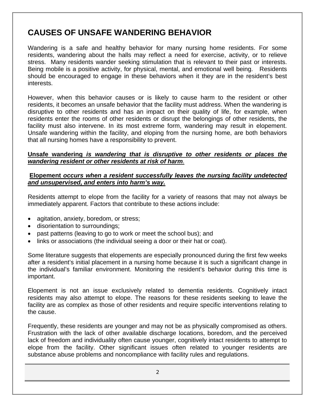# **CAUSES OF UNSAFE WANDERING BEHAVIOR**

Wandering is a safe and healthy behavior for many nursing home residents. For some residents, wandering about the halls may reflect a need for exercise, activity, or to relieve stress. Many residents wander seeking stimulation that is relevant to their past or interests. Being mobile is a positive activity, for physical, mental, and emotional well being. Residents should be encouraged to engage in these behaviors when it they are in the resident's best interests.

However, when this behavior causes or is likely to cause harm to the resident or other residents, it becomes an unsafe behavior that the facility must address. When the wandering is disruptive to other residents and has an impact on their quality of life, for example, when residents enter the rooms of other residents or disrupt the belongings of other residents, the facility must also intervene. In its most extreme form, wandering may result in elopement. Unsafe wandering within the facility, and eloping from the nursing home, are both behaviors that all nursing homes have a responsibility to prevent.

#### **Unsafe wandering** *is wandering that is disruptive to other residents or places the wandering resident or other residents at risk of harm*.

## **Elopement** *occurs when a resident successfully leaves the nursing facility undetected and unsupervised, and enters into harm's way.*

Residents attempt to elope from the facility for a variety of reasons that may not always be immediately apparent. Factors that contribute to these actions include:

- agitation, anxiety, boredom, or stress;
- disorientation to surroundings;
- past patterns (leaving to go to work or meet the school bus); and
- links or associations (the individual seeing a door or their hat or coat).

Some literature suggests that elopements are especially pronounced during the first few weeks after a resident's initial placement in a nursing home because it is such a significant change in the individual's familiar environment. Monitoring the resident's behavior during this time is important.

Elopement is not an issue exclusively related to dementia residents. Cognitively intact residents may also attempt to elope. The reasons for these residents seeking to leave the facility are as complex as those of other residents and require specific interventions relating to the cause.

Frequently, these residents are younger and may not be as physically compromised as others. Frustration with the lack of other available discharge locations, boredom, and the perceived lack of freedom and individuality often cause younger, cognitively intact residents to attempt to elope from the facility. Other significant issues often related to younger residents are substance abuse problems and noncompliance with facility rules and regulations.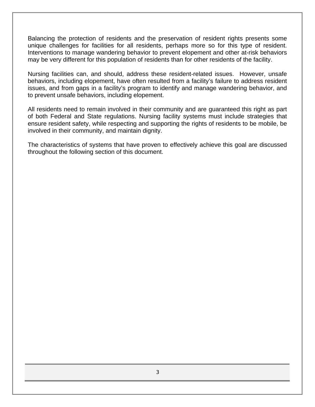Balancing the protection of residents and the preservation of resident rights presents some unique challenges for facilities for all residents, perhaps more so for this type of resident. Interventions to manage wandering behavior to prevent elopement and other at-risk behaviors may be very different for this population of residents than for other residents of the facility.

Nursing facilities can, and should, address these resident-related issues. However, unsafe behaviors, including elopement, have often resulted from a facility's failure to address resident issues, and from gaps in a facility's program to identify and manage wandering behavior, and to prevent unsafe behaviors, including elopement.

All residents need to remain involved in their community and are guaranteed this right as part of both Federal and State regulations. Nursing facility systems must include strategies that ensure resident safety, while respecting and supporting the rights of residents to be mobile, be involved in their community, and maintain dignity.

The characteristics of systems that have proven to effectively achieve this goal are discussed throughout the following section of this document.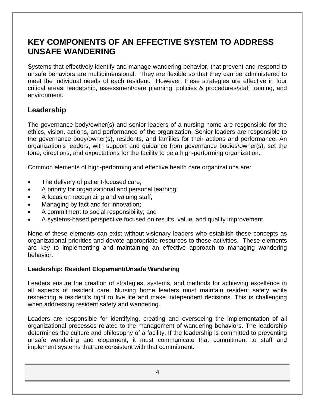# **KEY COMPONENTS OF AN EFFECTIVE SYSTEM TO ADDRESS UNSAFE WANDERING**

Systems that effectively identify and manage wandering behavior, that prevent and respond to unsafe behaviors are multidimensional. They are flexible so that they can be administered to meet the individual needs of each resident. However, these strategies are effective in four critical areas: leadership, assessment/care planning, policies & procedures/staff training, and environment.

## **Leadership**

The governance body/owner(s) and senior leaders of a nursing home are responsible for the ethics, vision, actions, and performance of the organization. Senior leaders are responsible to the governance body/owner(s), residents, and families for their actions and performance. An organization's leaders, with support and guidance from governance bodies/owner(s), set the tone, directions, and expectations for the facility to be a high-performing organization.

Common elements of high-performing and effective health care organizations are:

- The delivery of patient-focused care;
- A priority for organizational and personal learning;
- A focus on recognizing and valuing staff;
- Managing by fact and for innovation;
- A commitment to social responsibility; and
- A systems-based perspective focused on results, value, and quality improvement.

None of these elements can exist without visionary leaders who establish these concepts as organizational priorities and devote appropriate resources to those activities. These elements are key to implementing and maintaining an effective approach to managing wandering behavior.

## **Leadership: Resident Elopement/Unsafe Wandering**

Leaders ensure the creation of strategies, systems, and methods for achieving excellence in all aspects of resident care. Nursing home leaders must maintain resident safety while respecting a resident's right to live life and make independent decisions. This is challenging when addressing resident safety and wandering.

Leaders are responsible for identifying, creating and overseeing the implementation of all organizational processes related to the management of wandering behaviors. The leadership determines the culture and philosophy of a facility. If the leadership is committed to preventing unsafe wandering and elopement, it must communicate that commitment to staff and implement systems that are consistent with that commitment.

4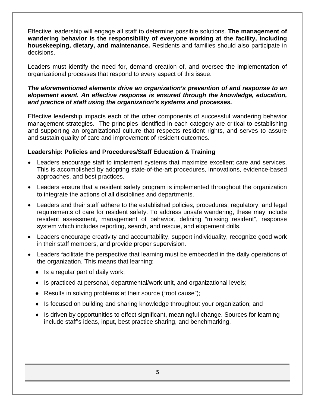Effective leadership will engage all staff to determine possible solutions. **The management of wandering behavior is the responsibility of everyone working at the facility, including housekeeping, dietary, and maintenance.** Residents and families should also participate in decisions.

Leaders must identify the need for, demand creation of, and oversee the implementation of organizational processes that respond to every aspect of this issue.

#### *The aforementioned elements drive an organization's prevention of and response to an elopement event. An effective response is ensured through the knowledge, education, and practice of staff using the organization's systems and processes.*

Effective leadership impacts each of the other components of successful wandering behavior management strategies. The principles identified in each category are critical to establishing and supporting an organizational culture that respects resident rights, and serves to assure and sustain quality of care and improvement of resident outcomes.

## **Leadership: Policies and Procedures/Staff Education & Training**

- Leaders encourage staff to implement systems that maximize excellent care and services. This is accomplished by adopting state-of-the-art procedures, innovations, evidence-based approaches, and best practices.
- Leaders ensure that a resident safety program is implemented throughout the organization to integrate the actions of all disciplines and departments.
- Leaders and their staff adhere to the established policies, procedures, regulatory, and legal requirements of care for resident safety. To address unsafe wandering, these may include resident assessment, management of behavior, defining "missing resident", response system which includes reporting, search, and rescue, and elopement drills.
- Leaders encourage creativity and accountability, support individuality, recognize good work in their staff members, and provide proper supervision.
- Leaders facilitate the perspective that learning must be embedded in the daily operations of the organization. This means that learning:
	- $\bullet$  is a regular part of daily work;
	- ♦ Is practiced at personal, departmental/work unit, and organizational levels;
	- ♦ Results in solving problems at their source ("root cause");
	- ♦ Is focused on building and sharing knowledge throughout your organization; and
	- ♦ Is driven by opportunities to effect significant, meaningful change. Sources for learning include staff's ideas, input, best practice sharing, and benchmarking.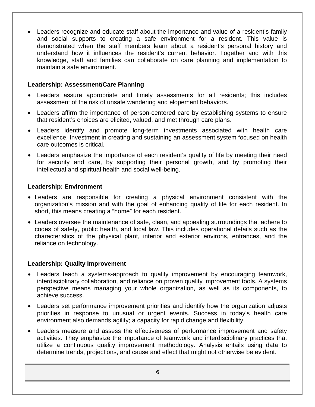• Leaders recognize and educate staff about the importance and value of a resident's family and social supports to creating a safe environment for a resident. This value is demonstrated when the staff members learn about a resident's personal history and understand how it influences the resident's current behavior. Together and with this knowledge, staff and families can collaborate on care planning and implementation to maintain a safe environment.

## **Leadership: Assessment/Care Planning**

- Leaders assure appropriate and timely assessments for all residents; this includes assessment of the risk of unsafe wandering and elopement behaviors.
- Leaders affirm the importance of person-centered care by establishing systems to ensure that resident's choices are elicited, valued, and met through care plans.
- Leaders identify and promote long-term investments associated with health care excellence. Investment in creating and sustaining an assessment system focused on health care outcomes is critical.
- Leaders emphasize the importance of each resident's quality of life by meeting their need for security and care, by supporting their personal growth, and by promoting their intellectual and spiritual health and social well-being.

## **Leadership: Environment**

- Leaders are responsible for creating a physical environment consistent with the organization's mission and with the goal of enhancing quality of life for each resident. In short, this means creating a "home" for each resident.
- Leaders oversee the maintenance of safe, clean, and appealing surroundings that adhere to codes of safety, public health, and local law. This includes operational details such as the characteristics of the physical plant, interior and exterior environs, entrances, and the reliance on technology.

## **Leadership: Quality Improvement**

- Leaders teach a systems-approach to quality improvement by encouraging teamwork, interdisciplinary collaboration, and reliance on proven quality improvement tools. A systems perspective means managing your whole organization, as well as its components, to achieve success.
- Leaders set performance improvement priorities and identify how the organization adjusts priorities in response to unusual or urgent events. Success in today's health care environment also demands agility; a capacity for rapid change and flexibility.
- Leaders measure and assess the effectiveness of performance improvement and safety activities. They emphasize the importance of teamwork and interdisciplinary practices that utilize a continuous quality improvement methodology. Analysis entails using data to determine trends, projections, and cause and effect that might not otherwise be evident.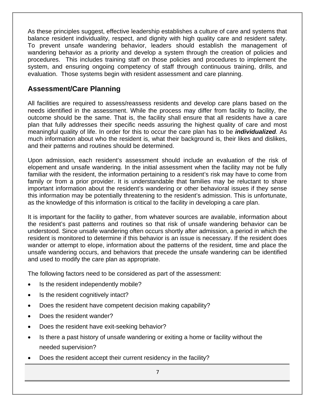As these principles suggest, effective leadership establishes a culture of care and systems that balance resident individuality, respect, and dignity with high quality care and resident safety. To prevent unsafe wandering behavior, leaders should establish the management of wandering behavior as a priority and develop a system through the creation of policies and procedures. This includes training staff on those policies and procedures to implement the system, and ensuring ongoing competency of staff through continuous training, drills, and evaluation. Those systems begin with resident assessment and care planning.

## **Assessment/Care Planning**

All facilities are required to assess/reassess residents and develop care plans based on the needs identified in the assessment. While the process may differ from facility to facility, the outcome should be the same. That is, the facility shall ensure that all residents have a care plan that fully addresses their specific needs assuring the highest quality of care and most meaningful quality of life. In order for this to occur the care plan has to be *individualized.* As much information about who the resident is, what their background is, their likes and dislikes, and their patterns and routines should be determined.

Upon admission, each resident's assessment should include an evaluation of the risk of elopement and unsafe wandering. In the initial assessment when the facility may not be fully familiar with the resident, the information pertaining to a resident's risk may have to come from family or from a prior provider. It is understandable that families may be reluctant to share important information about the resident's wandering or other behavioral issues if they sense this information may be potentially threatening to the resident's admission. This is unfortunate, as the knowledge of this information is critical to the facility in developing a care plan.

It is important for the facility to gather, from whatever sources are available, information about the resident's past patterns and routines so that risk of unsafe wandering behavior can be understood. Since unsafe wandering often occurs shortly after admission, a period in which the resident is monitored to determine if this behavior is an issue is necessary. If the resident does wander or attempt to elope, information about the patterns of the resident, time and place the unsafe wandering occurs, and behaviors that precede the unsafe wandering can be identified and used to modify the care plan as appropriate.

The following factors need to be considered as part of the assessment:

- Is the resident independently mobile?
- Is the resident cognitively intact?
- Does the resident have competent decision making capability?
- Does the resident wander?
- Does the resident have exit-seeking behavior?
- Is there a past history of unsafe wandering or exiting a home or facility without the needed supervision?
- Does the resident accept their current residency in the facility?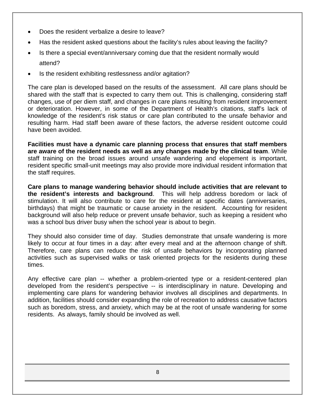- Does the resident verbalize a desire to leave?
- Has the resident asked questions about the facility's rules about leaving the facility?
- Is there a special event/anniversary coming due that the resident normally would attend?
- Is the resident exhibiting restlessness and/or agitation?

The care plan is developed based on the results of the assessment. All care plans should be shared with the staff that is expected to carry them out. This is challenging, considering staff changes, use of per diem staff, and changes in care plans resulting from resident improvement or deterioration. However, in some of the Department of Health's citations, staff's lack of knowledge of the resident's risk status or care plan contributed to the unsafe behavior and resulting harm. Had staff been aware of these factors, the adverse resident outcome could have been avoided.

**Facilities must have a dynamic care planning process that ensures that staff members are aware of the resident needs as well as any changes made by the clinical team**. While staff training on the broad issues around unsafe wandering and elopement is important, resident specific small-unit meetings may also provide more individual resident information that the staff requires.

**Care plans to manage wandering behavior should include activities that are relevant to the resident's interests and background**. This will help address boredom or lack of stimulation. It will also contribute to care for the resident at specific dates (anniversaries, birthdays) that might be traumatic or cause anxiety in the resident. Accounting for resident background will also help reduce or prevent unsafe behavior, such as keeping a resident who was a school bus driver busy when the school year is about to begin.

They should also consider time of day. Studies demonstrate that unsafe wandering is more likely to occur at four times in a day: after every meal and at the afternoon change of shift. Therefore, care plans can reduce the risk of unsafe behaviors by incorporating planned activities such as supervised walks or task oriented projects for the residents during these times.

Any effective care plan -- whether a problem-oriented type or a resident-centered plan developed from the resident's perspective -- is interdisciplinary in nature. Developing and implementing care plans for wandering behavior involves all disciplines and departments. In addition, facilities should consider expanding the role of recreation to address causative factors such as boredom, stress, and anxiety, which may be at the root of unsafe wandering for some residents. As always, family should be involved as well.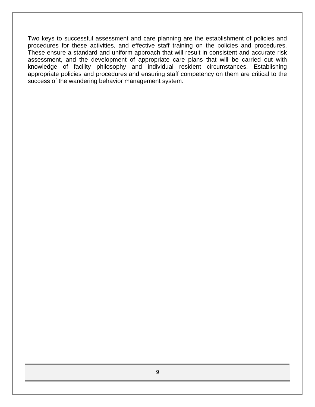Two keys to successful assessment and care planning are the establishment of policies and procedures for these activities, and effective staff training on the policies and procedures. These ensure a standard and uniform approach that will result in consistent and accurate risk assessment, and the development of appropriate care plans that will be carried out with knowledge of facility philosophy and individual resident circumstances. Establishing appropriate policies and procedures and ensuring staff competency on them are critical to the success of the wandering behavior management system.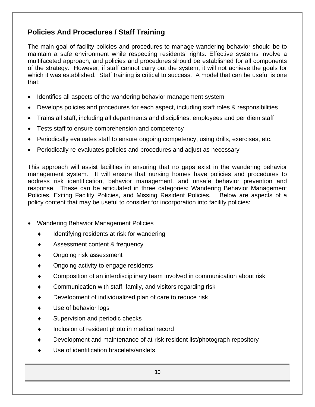## **Policies And Procedures / Staff Training**

The main goal of facility policies and procedures to manage wandering behavior should be to maintain a safe environment while respecting residents' rights. Effective systems involve a multifaceted approach, and policies and procedures should be established for all components of the strategy. However, if staff cannot carry out the system, it will not achieve the goals for which it was established. Staff training is critical to success. A model that can be useful is one that:

- Identifies all aspects of the wandering behavior management system
- Develops policies and procedures for each aspect, including staff roles & responsibilities
- Trains all staff, including all departments and disciplines, employees and per diem staff
- Tests staff to ensure comprehension and competency
- Periodically evaluates staff to ensure ongoing competency, using drills, exercises, etc.
- Periodically re-evaluates policies and procedures and adjust as necessary

This approach will assist facilities in ensuring that no gaps exist in the wandering behavior management system. It will ensure that nursing homes have policies and procedures to address risk identification, behavior management, and unsafe behavior prevention and response. These can be articulated in three categories: Wandering Behavior Management Policies, Exiting Facility Policies, and Missing Resident Policies. Below are aspects of a policy content that may be useful to consider for incorporation into facility policies:

- Wandering Behavior Management Policies
	- Identifying residents at risk for wandering
	- Assessment content & frequency
	- Ongoing risk assessment
	- ♦ Ongoing activity to engage residents
	- Composition of an interdisciplinary team involved in communication about risk
	- Communication with staff, family, and visitors regarding risk
	- Development of individualized plan of care to reduce risk
	- Use of behavior logs
	- Supervision and periodic checks
	- Inclusion of resident photo in medical record
	- Development and maintenance of at-risk resident list/photograph repository
	- Use of identification bracelets/anklets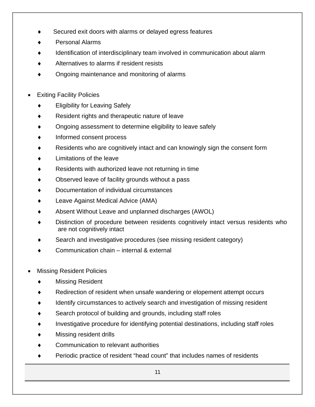- Secured exit doors with alarms or delayed egress features
- Personal Alarms
- Identification of interdisciplinary team involved in communication about alarm
- Alternatives to alarms if resident resists
- Ongoing maintenance and monitoring of alarms
- **Exiting Facility Policies** 
	- Eligibility for Leaving Safely
	- Resident rights and therapeutic nature of leave
	- Ongoing assessment to determine eligibility to leave safely
	- Informed consent process
	- Residents who are cognitively intact and can knowingly sign the consent form
	- Limitations of the leave
	- Residents with authorized leave not returning in time
	- Observed leave of facility grounds without a pass
	- Documentation of individual circumstances
	- Leave Against Medical Advice (AMA)
	- Absent Without Leave and unplanned discharges (AWOL)
	- Distinction of procedure between residents cognitively intact versus residents who are not cognitively intact
	- Search and investigative procedures (see missing resident category)
	- Communication chain internal & external
- **Missing Resident Policies** 
	- **Missing Resident**
	- Redirection of resident when unsafe wandering or elopement attempt occurs
	- Identify circumstances to actively search and investigation of missing resident
	- Search protocol of building and grounds, including staff roles
	- Investigative procedure for identifying potential destinations, including staff roles
	- Missing resident drills
	- Communication to relevant authorities
	- ♦ Periodic practice of resident "head count" that includes names of residents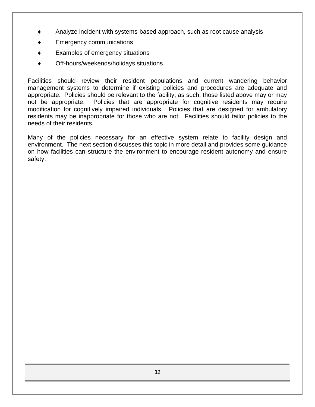- Analyze incident with systems-based approach, such as root cause analysis
- **Emergency communications**
- Examples of emergency situations
- Off-hours/weekends/holidays situations

Facilities should review their resident populations and current wandering behavior management systems to determine if existing policies and procedures are adequate and appropriate. Policies should be relevant to the facility; as such, those listed above may or may not be appropriate. Policies that are appropriate for cognitive residents may require modification for cognitively impaired individuals. Policies that are designed for ambulatory residents may be inappropriate for those who are not. Facilities should tailor policies to the needs of their residents.

Many of the policies necessary for an effective system relate to facility design and environment. The next section discusses this topic in more detail and provides some guidance on how facilities can structure the environment to encourage resident autonomy and ensure safety.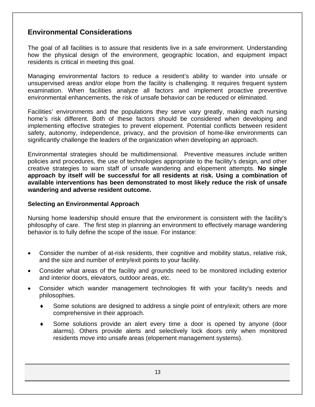## **Environmental Considerations**

The goal of all facilities is to assure that residents live in a safe environment. Understanding how the physical design of the environment, geographic location, and equipment impact residents is critical in meeting this goal.

Managing environmental factors to reduce a resident's ability to wander into unsafe or unsupervised areas and/or elope from the facility is challenging. It requires frequent system examination. When facilities analyze all factors and implement proactive preventive environmental enhancements, the risk of unsafe behavior can be reduced or eliminated.

Facilities' environments and the populations they serve vary greatly, making each nursing home's risk different. Both of these factors should be considered when developing and implementing effective strategies to prevent elopement. Potential conflicts between resident safety, autonomy, independence, privacy, and the provision of home-like environments can significantly challenge the leaders of the organization when developing an approach.

Environmental strategies should be multidimensional. Preventive measures include written policies and procedures, the use of technologies appropriate to the facility's design, and other creative strategies to warn staff of unsafe wandering and elopement attempts. **No single approach by itself will be successful for all residents at risk. Using a combination of available interventions has been demonstrated to most likely reduce the risk of unsafe wandering and adverse resident outcome.** 

#### **Selecting an Environmental Approach**

Nursing home leadership should ensure that the environment is consistent with the facility's philosophy of care. The first step in planning an environment to effectively manage wandering behavior is to fully define the scope of the issue. For instance:

- Consider the number of at-risk residents, their cognitive and mobility status, relative risk, and the size and number of entry/exit points to your facility.
- Consider what areas of the facility and grounds need to be monitored including exterior and interior doors, elevators, outdoor areas, etc.
- Consider which wander management technologies fit with your facility's needs and philosophies.
	- Some solutions are designed to address a single point of entry/exit; others are more comprehensive in their approach.
	- Some solutions provide an alert every time a door is opened by anyone (door alarms). Others provide alerts and selectively lock doors only when monitored residents move into unsafe areas (elopement management systems).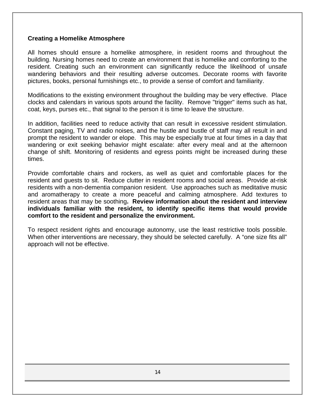#### **Creating a Homelike Atmosphere**

All homes should ensure a homelike atmosphere, in resident rooms and throughout the building. Nursing homes need to create an environment that is homelike and comforting to the resident. Creating such an environment can significantly reduce the likelihood of unsafe wandering behaviors and their resulting adverse outcomes. Decorate rooms with favorite pictures, books, personal furnishings etc., to provide a sense of comfort and familiarity.

Modifications to the existing environment throughout the building may be very effective. Place clocks and calendars in various spots around the facility. Remove "trigger" items such as hat, coat, keys, purses etc., that signal to the person it is time to leave the structure.

In addition, facilities need to reduce activity that can result in excessive resident stimulation. Constant paging, TV and radio noises, and the hustle and bustle of staff may all result in and prompt the resident to wander or elope. This may be especially true at four times in a day that wandering or exit seeking behavior might escalate: after every meal and at the afternoon change of shift. Monitoring of residents and egress points might be increased during these times.

Provide comfortable chairs and rockers, as well as quiet and comfortable places for the resident and guests to sit. Reduce clutter in resident rooms and social areas. Provide at-risk residents with a non-dementia companion resident. Use approaches such as meditative music and aromatherapy to create a more peaceful and calming atmosphere. Add textures to resident areas that may be soothing**. Review information about the resident and interview individuals familiar with the resident, to identify specific items that would provide comfort to the resident and personalize the environment.** 

To respect resident rights and encourage autonomy, use the least restrictive tools possible. When other interventions are necessary, they should be selected carefully. A "one size fits all" approach will not be effective.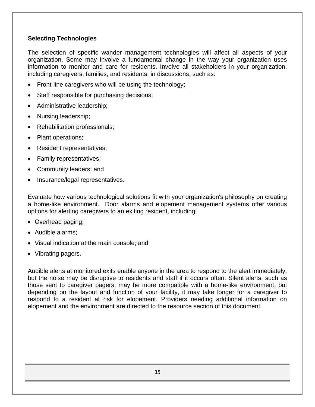## **Selecting Technologies**

The selection of specific wander management technologies will affect all aspects of your organization. Some may involve a fundamental change in the way your organization uses information to monitor and care for residents. Involve all stakeholders in your organization, including caregivers, families, and residents, in discussions, such as:

- Front-line caregivers who will be using the technology;
- Staff responsible for purchasing decisions;
- Administrative leadership;
- Nursing leadership;
- Rehabilitation professionals;
- Plant operations;
- Resident representatives;
- Family representatives;
- Community leaders; and
- Insurance/legal representatives.

Evaluate how various technological solutions fit with your organization's philosophy on creating a home-like environment. Door alarms and elopement management systems offer various options for alerting caregivers to an exiting resident, including:

- Overhead paging;
- Audible alarms;
- Visual indication at the main console; and
- Vibrating pagers.

Audible alerts at monitored exits enable anyone in the area to respond to the alert immediately, but the noise may be disruptive to residents and staff if it occurs often. Silent alerts, such as those sent to caregiver pagers, may be more compatible with a home-like environment, but depending on the layout and function of your facility, it may take longer for a caregiver to respond to a resident at risk for elopement. Providers needing additional information on elopement and the environment are directed to the resource section of this document.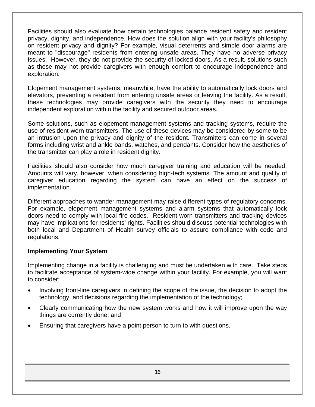Facilities should also evaluate how certain technologies balance resident safety and resident privacy, dignity, and independence. How does the solution align with your facility's philosophy on resident privacy and dignity? For example, visual deterrents and simple door alarms are meant to "discourage" residents from entering unsafe areas. They have no adverse privacy issues. However, they do not provide the security of locked doors. As a result, solutions such as these may not provide caregivers with enough comfort to encourage independence and exploration.

Elopement management systems, meanwhile, have the ability to automatically lock doors and elevators, preventing a resident from entering unsafe areas or leaving the facility. As a result, these technologies may provide caregivers with the security they need to encourage independent exploration within the facility and secured outdoor areas.

Some solutions, such as elopement management systems and tracking systems, require the use of resident-worn transmitters. The use of these devices may be considered by some to be an intrusion upon the privacy and dignity of the resident. Transmitters can come in several forms including wrist and ankle bands, watches, and pendants. Consider how the aesthetics of the transmitter can play a role in resident dignity.

Facilities should also consider how much caregiver training and education will be needed. Amounts will vary, however, when considering high-tech systems. The amount and quality of caregiver education regarding the system can have an effect on the success of implementation.

Different approaches to wander management may raise different types of regulatory concerns. For example, elopement management systems and alarm systems that automatically lock doors need to comply with local fire codes. Resident-worn transmitters and tracking devices may have implications for residents' rights. Facilities should discuss potential technologies with both local and Department of Health survey officials to assure compliance with code and regulations.

#### **Implementing Your System**

Implementing change in a facility is challenging and must be undertaken with care. Take steps to facilitate acceptance of system-wide change within your facility. For example, you will want to consider:

- Involving front-line caregivers in defining the scope of the issue, the decision to adopt the technology, and decisions regarding the implementation of the technology;
- Clearly communicating how the new system works and how it will improve upon the way things are currently done; and
- Ensuring that caregivers have a point person to turn to with questions.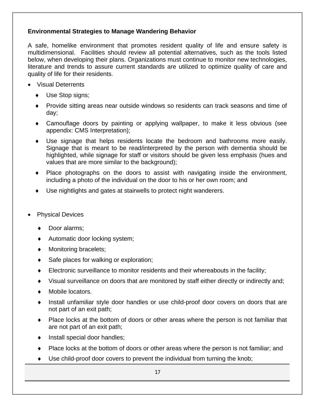## **Environmental Strategies to Manage Wandering Behavior**

A safe, homelike environment that promotes resident quality of life and ensure safety is multidimensional. Facilities should review all potential alternatives, such as the tools listed below, when developing their plans. Organizations must continue to monitor new technologies, literature and trends to assure current standards are utilized to optimize quality of care and quality of life for their residents.

- Visual Deterrents
	- Use Stop signs;
	- ♦ Provide sitting areas near outside windows so residents can track seasons and time of day;
	- ♦ Camouflage doors by painting or applying wallpaper, to make it less obvious (see appendix: CMS Interpretation);
	- ♦ Use signage that helps residents locate the bedroom and bathrooms more easily. Signage that is meant to be read/interpreted by the person with dementia should be highlighted, while signage for staff or visitors should be given less emphasis (hues and values that are more similar to the background);
	- ♦ Place photographs on the doors to assist with navigating inside the environment, including a photo of the individual on the door to his or her own room; and
	- Use nightlights and gates at stairwells to protect night wanderers.
- **Physical Devices** 
	- Door alarms;
	- ♦ Automatic door locking system;
	- ♦ Monitoring bracelets;
	- ♦ Safe places for walking or exploration;
	- $\bullet$  Electronic surveillance to monitor residents and their whereabouts in the facility;
	- ♦ Visual surveillance on doors that are monitored by staff either directly or indirectly and;
	- ♦ Mobile locators.
	- ♦ Install unfamiliar style door handles or use child-proof door covers on doors that are not part of an exit path;
	- ♦ Place locks at the bottom of doors or other areas where the person is not familiar that are not part of an exit path;
	- Install special door handles;
	- Place locks at the bottom of doors or other areas where the person is not familiar; and
	- Use child-proof door covers to prevent the individual from turning the knob;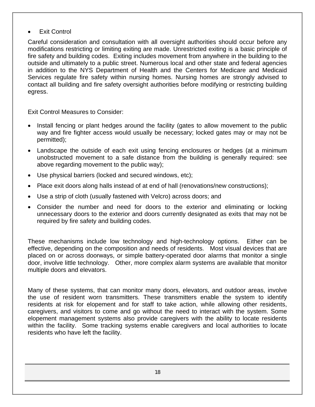## **Exit Control**

Careful consideration and consultation with all oversight authorities should occur before any modifications restricting or limiting exiting are made. Unrestricted exiting is a basic principle of fire safety and building codes. Exiting includes movement from anywhere in the building to the outside and ultimately to a public street. Numerous local and other state and federal agencies in addition to the NYS Department of Health and the Centers for Medicare and Medicaid Services regulate fire safety within nursing homes. Nursing homes are strongly advised to contact all building and fire safety oversight authorities before modifying or restricting building egress.

Exit Control Measures to Consider:

- Install fencing or plant hedges around the facility (gates to allow movement to the public way and fire fighter access would usually be necessary; locked gates may or may not be permitted);
- Landscape the outside of each exit using fencing enclosures or hedges (at a minimum unobstructed movement to a safe distance from the building is generally required: see above regarding movement to the public way);
- Use physical barriers (locked and secured windows, etc);
- Place exit doors along halls instead of at end of hall (renovations/new constructions);
- Use a strip of cloth (usually fastened with Velcro) across doors; and
- Consider the number and need for doors to the exterior and eliminating or locking unnecessary doors to the exterior and doors currently designated as exits that may not be required by fire safety and building codes.

These mechanisms include low technology and high-technology options. Either can be effective, depending on the composition and needs of residents. Most visual devices that are placed on or across doorways, or simple battery-operated door alarms that monitor a single door, involve little technology. Other, more complex alarm systems are available that monitor multiple doors and elevators.

Many of these systems, that can monitor many doors, elevators, and outdoor areas, involve the use of resident worn transmitters. These transmitters enable the system to identify residents at risk for elopement and for staff to take action, while allowing other residents, caregivers, and visitors to come and go without the need to interact with the system. Some elopement management systems also provide caregivers with the ability to locate residents within the facility. Some tracking systems enable caregivers and local authorities to locate residents who have left the facility.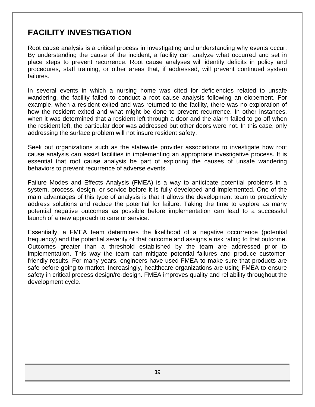# **FACILITY INVESTIGATION**

Root cause analysis is a critical process in investigating and understanding why events occur. By understanding the cause of the incident, a facility can analyze what occurred and set in place steps to prevent recurrence. Root cause analyses will identify deficits in policy and procedures, staff training, or other areas that, if addressed, will prevent continued system failures.

In several events in which a nursing home was cited for deficiencies related to unsafe wandering, the facility failed to conduct a root cause analysis following an elopement. For example, when a resident exited and was returned to the facility, there was no exploration of how the resident exited and what might be done to prevent recurrence. In other instances, when it was determined that a resident left through a door and the alarm failed to go off when the resident left, the particular door was addressed but other doors were not. In this case, only addressing the surface problem will not insure resident safety.

Seek out organizations such as the statewide provider associations to investigate how root cause analysis can assist facilities in implementing an appropriate investigative process. It is essential that root cause analysis be part of exploring the causes of unsafe wandering behaviors to prevent recurrence of adverse events.

Failure Modes and Effects Analysis (FMEA) is a way to anticipate potential problems in a system, process, design, or service before it is fully developed and implemented. One of the main advantages of this type of analysis is that it allows the development team to proactively address solutions and reduce the potential for failure. Taking the time to explore as many potential negative outcomes as possible before implementation can lead to a successful launch of a new approach to care or service.

Essentially, a FMEA team determines the likelihood of a negative occurrence (potential frequency) and the potential severity of that outcome and assigns a risk rating to that outcome. Outcomes greater than a threshold established by the team are addressed prior to implementation. This way the team can mitigate potential failures and produce customerfriendly results. For many years, engineers have used FMEA to make sure that products are safe before going to market. Increasingly, healthcare organizations are using FMEA to ensure safety in critical process design/re-design. FMEA improves quality and reliability throughout the development cycle.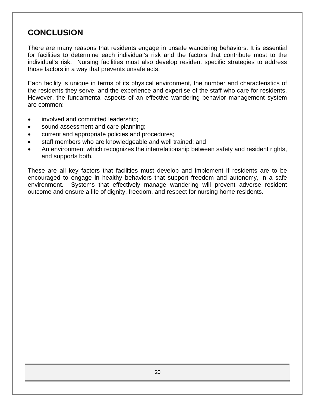# **CONCLUSION**

There are many reasons that residents engage in unsafe wandering behaviors. It is essential for facilities to determine each individual's risk and the factors that contribute most to the individual's risk. Nursing facilities must also develop resident specific strategies to address those factors in a way that prevents unsafe acts.

Each facility is unique in terms of its physical environment, the number and characteristics of the residents they serve, and the experience and expertise of the staff who care for residents. However, the fundamental aspects of an effective wandering behavior management system are common:

- involved and committed leadership;
- sound assessment and care planning;
- current and appropriate policies and procedures;
- staff members who are knowledgeable and well trained; and
- An environment which recognizes the interrelationship between safety and resident rights, and supports both.

These are all key factors that facilities must develop and implement if residents are to be encouraged to engage in healthy behaviors that support freedom and autonomy, in a safe environment. Systems that effectively manage wandering will prevent adverse resident outcome and ensure a life of dignity, freedom, and respect for nursing home residents.